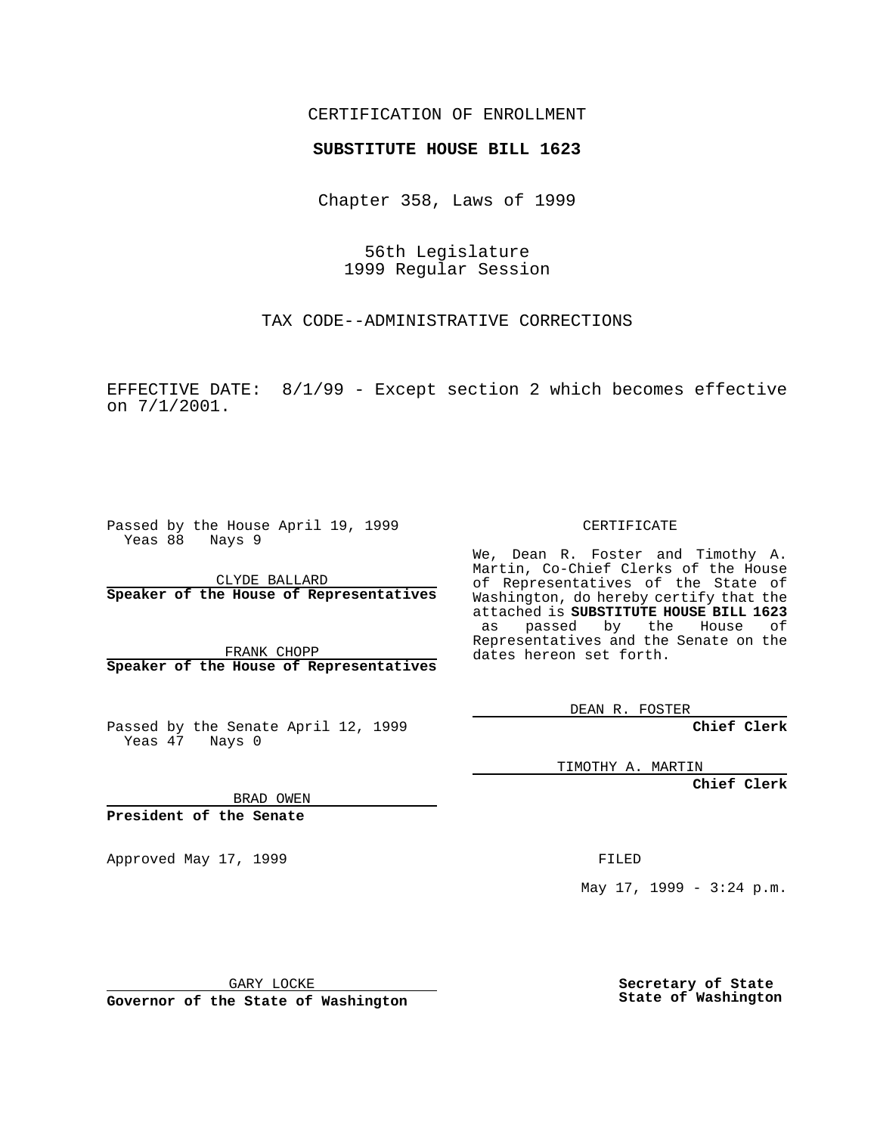#### CERTIFICATION OF ENROLLMENT

# **SUBSTITUTE HOUSE BILL 1623**

Chapter 358, Laws of 1999

56th Legislature 1999 Regular Session

TAX CODE--ADMINISTRATIVE CORRECTIONS

EFFECTIVE DATE: 8/1/99 - Except section 2 which becomes effective on 7/1/2001.

Passed by the House April 19, 1999 Yeas 88 Nays 9

CLYDE BALLARD **Speaker of the House of Representatives**

FRANK CHOPP **Speaker of the House of Representatives**

Passed by the Senate April 12, 1999 Yeas 47 Nays 0

CERTIFICATE

We, Dean R. Foster and Timothy A. Martin, Co-Chief Clerks of the House of Representatives of the State of Washington, do hereby certify that the attached is **SUBSTITUTE HOUSE BILL 1623** as passed by the House of Representatives and the Senate on the dates hereon set forth.

DEAN R. FOSTER

**Chief Clerk**

TIMOTHY A. MARTIN

**Chief Clerk**

BRAD OWEN

**President of the Senate**

Approved May 17, 1999 **FILED** 

May 17, 1999 - 3:24 p.m.

GARY LOCKE

**Governor of the State of Washington**

**Secretary of State State of Washington**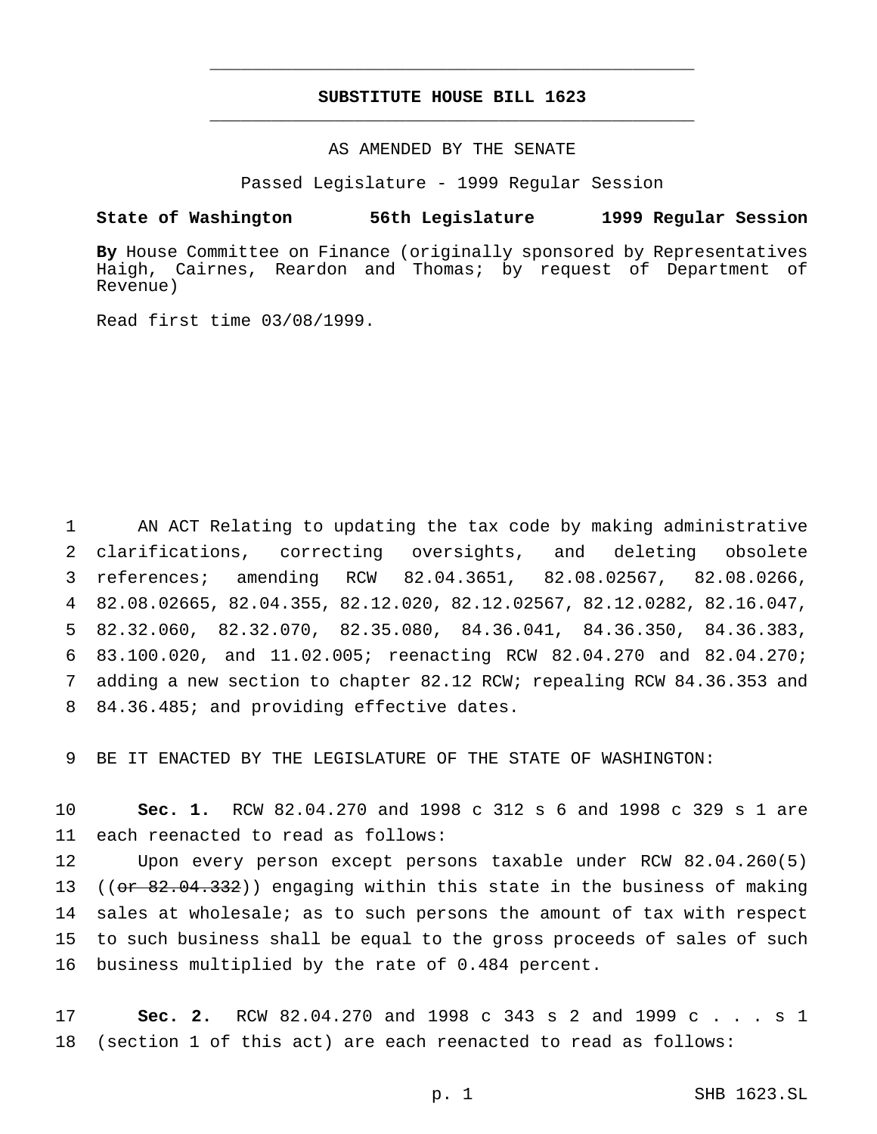## **SUBSTITUTE HOUSE BILL 1623** \_\_\_\_\_\_\_\_\_\_\_\_\_\_\_\_\_\_\_\_\_\_\_\_\_\_\_\_\_\_\_\_\_\_\_\_\_\_\_\_\_\_\_\_\_\_\_

\_\_\_\_\_\_\_\_\_\_\_\_\_\_\_\_\_\_\_\_\_\_\_\_\_\_\_\_\_\_\_\_\_\_\_\_\_\_\_\_\_\_\_\_\_\_\_

### AS AMENDED BY THE SENATE

Passed Legislature - 1999 Regular Session

#### **State of Washington 56th Legislature 1999 Regular Session**

**By** House Committee on Finance (originally sponsored by Representatives Haigh, Cairnes, Reardon and Thomas; by request of Department of Revenue)

Read first time 03/08/1999.

 AN ACT Relating to updating the tax code by making administrative clarifications, correcting oversights, and deleting obsolete references; amending RCW 82.04.3651, 82.08.02567, 82.08.0266, 82.08.02665, 82.04.355, 82.12.020, 82.12.02567, 82.12.0282, 82.16.047, 82.32.060, 82.32.070, 82.35.080, 84.36.041, 84.36.350, 84.36.383, 83.100.020, and 11.02.005; reenacting RCW 82.04.270 and 82.04.270; adding a new section to chapter 82.12 RCW; repealing RCW 84.36.353 and 84.36.485; and providing effective dates.

9 BE IT ENACTED BY THE LEGISLATURE OF THE STATE OF WASHINGTON:

10 **Sec. 1.** RCW 82.04.270 and 1998 c 312 s 6 and 1998 c 329 s 1 are 11 each reenacted to read as follows:

 Upon every person except persons taxable under RCW 82.04.260(5) 13 ( $(\sigma r \theta^2.04.332)$ ) engaging within this state in the business of making sales at wholesale; as to such persons the amount of tax with respect to such business shall be equal to the gross proceeds of sales of such business multiplied by the rate of 0.484 percent.

17 **Sec. 2.** RCW 82.04.270 and 1998 c 343 s 2 and 1999 c . . . s 1 18 (section 1 of this act) are each reenacted to read as follows: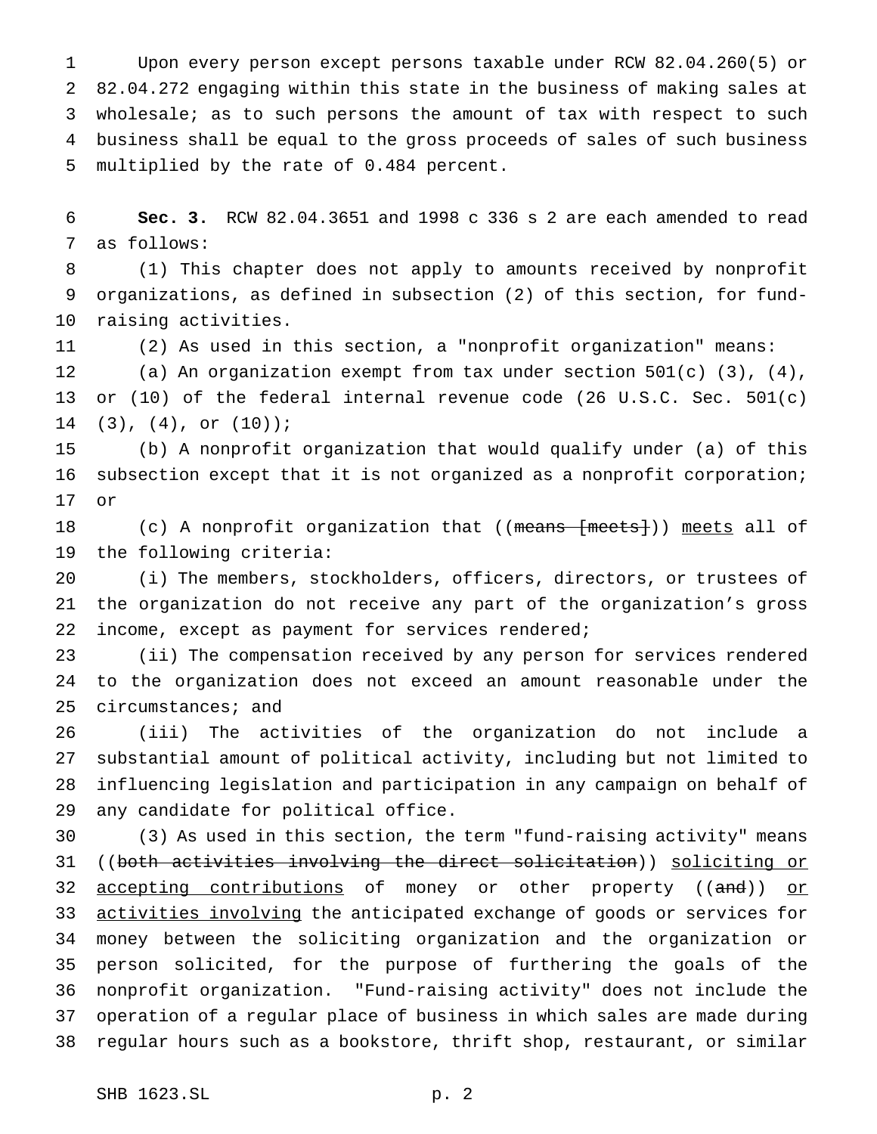Upon every person except persons taxable under RCW 82.04.260(5) or 82.04.272 engaging within this state in the business of making sales at wholesale; as to such persons the amount of tax with respect to such business shall be equal to the gross proceeds of sales of such business multiplied by the rate of 0.484 percent.

 **Sec. 3.** RCW 82.04.3651 and 1998 c 336 s 2 are each amended to read as follows:

 (1) This chapter does not apply to amounts received by nonprofit organizations, as defined in subsection (2) of this section, for fund-raising activities.

(2) As used in this section, a "nonprofit organization" means:

 (a) An organization exempt from tax under section 501(c) (3), (4), or (10) of the federal internal revenue code (26 U.S.C. Sec. 501(c) (3), (4), or (10));

 (b) A nonprofit organization that would qualify under (a) of this subsection except that it is not organized as a nonprofit corporation; or

18 (c) A nonprofit organization that ((means [meets])) meets all of the following criteria:

 (i) The members, stockholders, officers, directors, or trustees of the organization do not receive any part of the organization's gross 22 income, except as payment for services rendered;

 (ii) The compensation received by any person for services rendered to the organization does not exceed an amount reasonable under the circumstances; and

 (iii) The activities of the organization do not include a substantial amount of political activity, including but not limited to influencing legislation and participation in any campaign on behalf of any candidate for political office.

 (3) As used in this section, the term "fund-raising activity" means ((both activities involving the direct solicitation)) soliciting or 32 <u>accepting contributions</u> of money or other property ((and)) or 33 activities involving the anticipated exchange of goods or services for money between the soliciting organization and the organization or person solicited, for the purpose of furthering the goals of the nonprofit organization. "Fund-raising activity" does not include the operation of a regular place of business in which sales are made during regular hours such as a bookstore, thrift shop, restaurant, or similar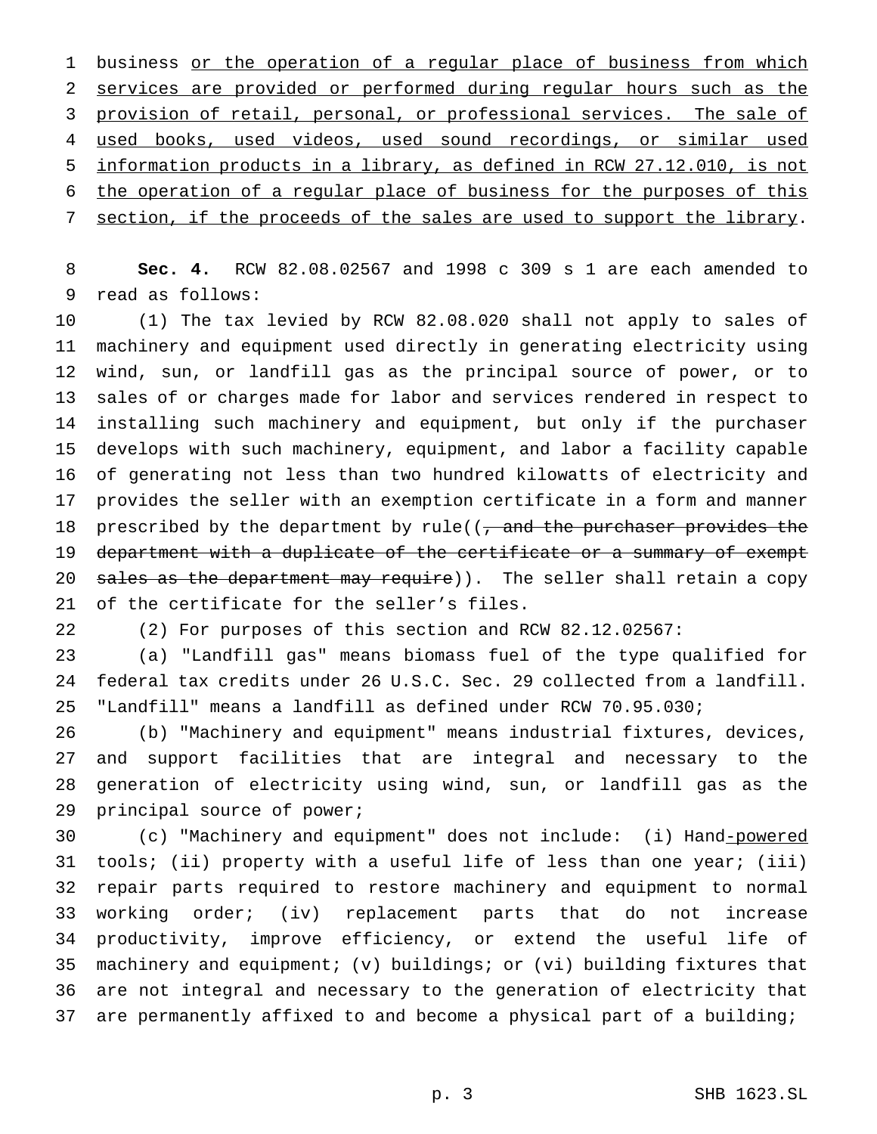1 business or the operation of a regular place of business from which services are provided or performed during regular hours such as the provision of retail, personal, or professional services. The sale of used books, used videos, used sound recordings, or similar used information products in a library, as defined in RCW 27.12.010, is not the operation of a regular place of business for the purposes of this 7 section, if the proceeds of the sales are used to support the library.

 **Sec. 4.** RCW 82.08.02567 and 1998 c 309 s 1 are each amended to read as follows:

 (1) The tax levied by RCW 82.08.020 shall not apply to sales of machinery and equipment used directly in generating electricity using wind, sun, or landfill gas as the principal source of power, or to sales of or charges made for labor and services rendered in respect to installing such machinery and equipment, but only if the purchaser develops with such machinery, equipment, and labor a facility capable of generating not less than two hundred kilowatts of electricity and provides the seller with an exemption certificate in a form and manner 18 prescribed by the department by rule( $($ , and the purchaser provides the 19 department with a duplicate of the certificate or a summary of exempt 20 sales as the department may require)). The seller shall retain a copy of the certificate for the seller's files.

(2) For purposes of this section and RCW 82.12.02567:

 (a) "Landfill gas" means biomass fuel of the type qualified for federal tax credits under 26 U.S.C. Sec. 29 collected from a landfill. "Landfill" means a landfill as defined under RCW 70.95.030;

 (b) "Machinery and equipment" means industrial fixtures, devices, and support facilities that are integral and necessary to the generation of electricity using wind, sun, or landfill gas as the principal source of power;

 (c) "Machinery and equipment" does not include: (i) Hand-powered tools; (ii) property with a useful life of less than one year; (iii) repair parts required to restore machinery and equipment to normal working order; (iv) replacement parts that do not increase productivity, improve efficiency, or extend the useful life of machinery and equipment; (v) buildings; or (vi) building fixtures that are not integral and necessary to the generation of electricity that are permanently affixed to and become a physical part of a building;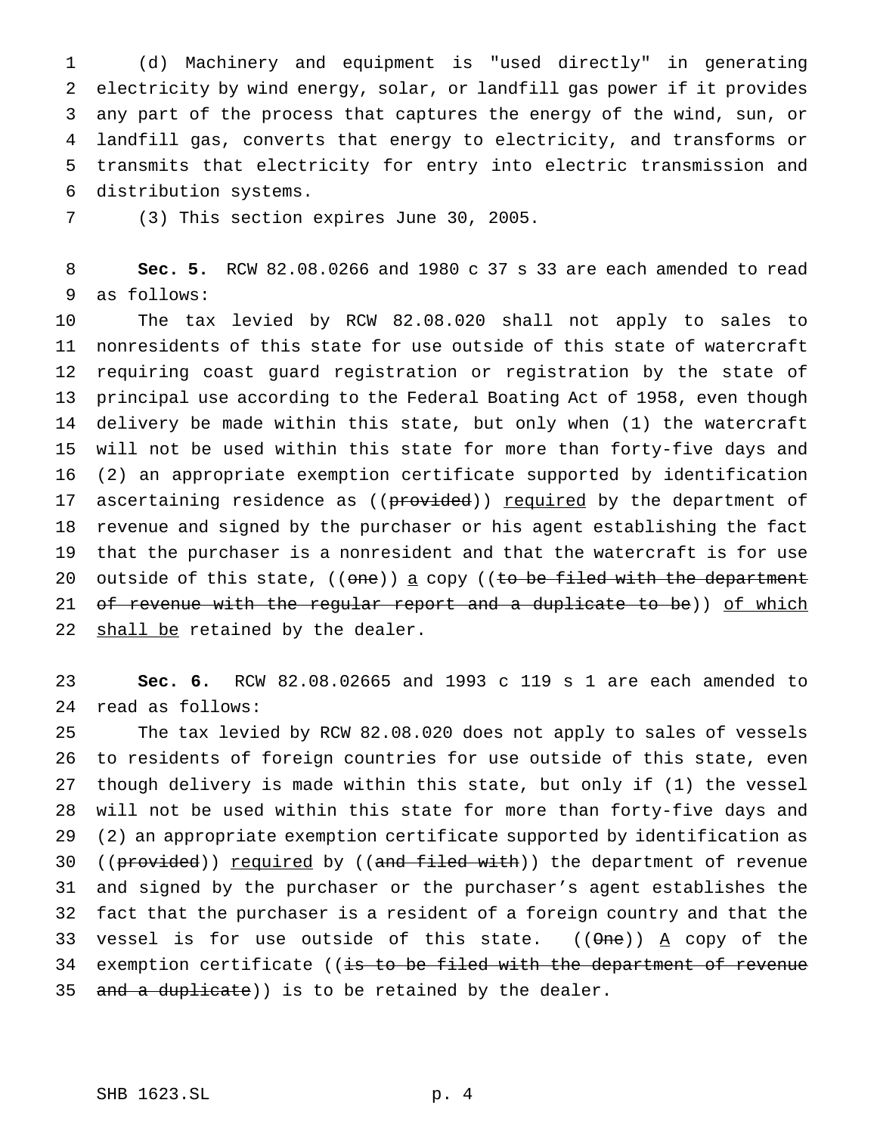(d) Machinery and equipment is "used directly" in generating electricity by wind energy, solar, or landfill gas power if it provides any part of the process that captures the energy of the wind, sun, or landfill gas, converts that energy to electricity, and transforms or transmits that electricity for entry into electric transmission and distribution systems.

(3) This section expires June 30, 2005.

 **Sec. 5.** RCW 82.08.0266 and 1980 c 37 s 33 are each amended to read as follows:

 The tax levied by RCW 82.08.020 shall not apply to sales to nonresidents of this state for use outside of this state of watercraft requiring coast guard registration or registration by the state of principal use according to the Federal Boating Act of 1958, even though delivery be made within this state, but only when (1) the watercraft will not be used within this state for more than forty-five days and (2) an appropriate exemption certificate supported by identification 17 ascertaining residence as ((provided)) required by the department of revenue and signed by the purchaser or his agent establishing the fact that the purchaser is a nonresident and that the watercraft is for use 20 outside of this state,  $((one))$  a copy  $((to be field with the department$ 21 of revenue with the regular report and a duplicate to be)) of which 22 shall be retained by the dealer.

 **Sec. 6.** RCW 82.08.02665 and 1993 c 119 s 1 are each amended to read as follows:

 The tax levied by RCW 82.08.020 does not apply to sales of vessels to residents of foreign countries for use outside of this state, even though delivery is made within this state, but only if (1) the vessel will not be used within this state for more than forty-five days and (2) an appropriate exemption certificate supported by identification as 30 ((provided)) required by ((and filed with)) the department of revenue and signed by the purchaser or the purchaser's agent establishes the fact that the purchaser is a resident of a foreign country and that the 33 vessel is for use outside of this state.  $((\theta n e))$  A copy of the 34 exemption certificate ((is to be filed with the department of revenue 35 and a duplicate)) is to be retained by the dealer.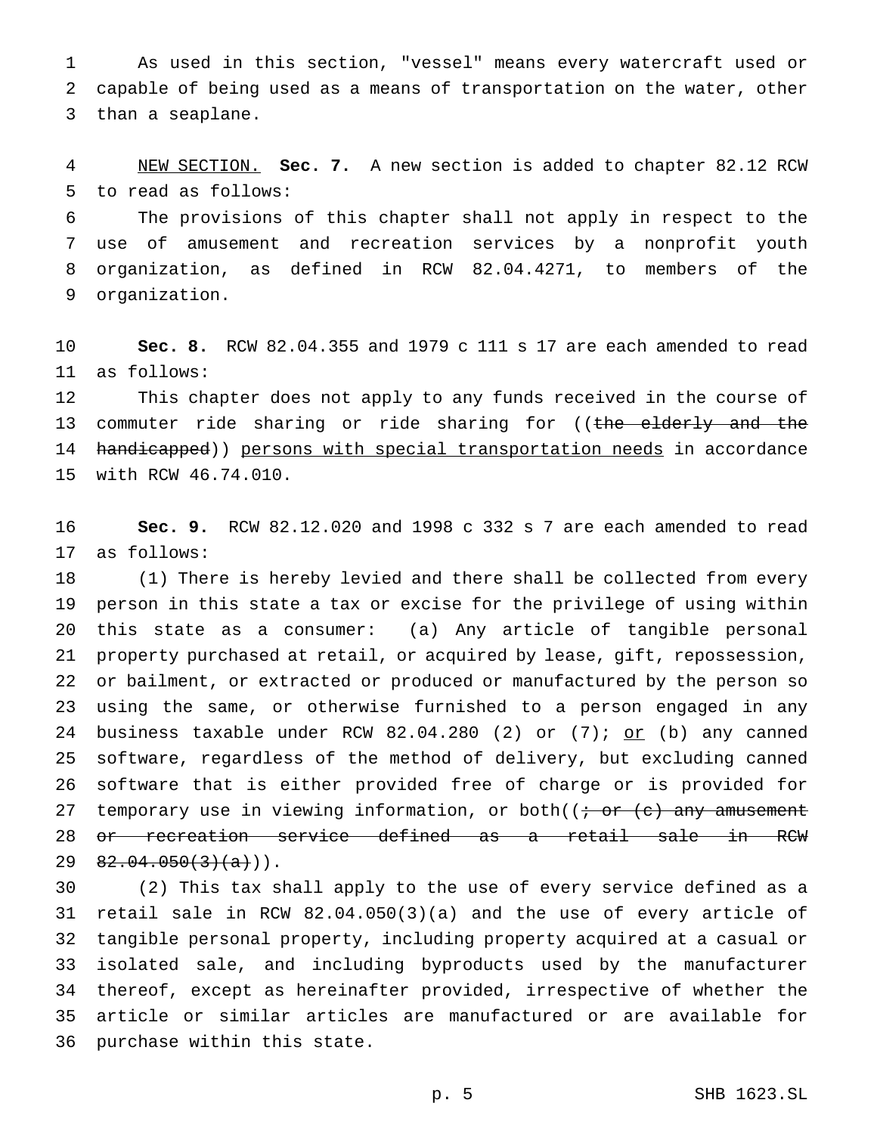As used in this section, "vessel" means every watercraft used or capable of being used as a means of transportation on the water, other than a seaplane.

 NEW SECTION. **Sec. 7.** A new section is added to chapter 82.12 RCW to read as follows:

 The provisions of this chapter shall not apply in respect to the use of amusement and recreation services by a nonprofit youth organization, as defined in RCW 82.04.4271, to members of the organization.

 **Sec. 8.** RCW 82.04.355 and 1979 c 111 s 17 are each amended to read as follows:

 This chapter does not apply to any funds received in the course of 13 commuter ride sharing or ride sharing for ((the elderly and the 14 handicapped)) persons with special transportation needs in accordance with RCW 46.74.010.

 **Sec. 9.** RCW 82.12.020 and 1998 c 332 s 7 are each amended to read as follows:

 (1) There is hereby levied and there shall be collected from every person in this state a tax or excise for the privilege of using within this state as a consumer: (a) Any article of tangible personal property purchased at retail, or acquired by lease, gift, repossession, or bailment, or extracted or produced or manufactured by the person so using the same, or otherwise furnished to a person engaged in any 24 business taxable under RCW  $82.04.280$  (2) or (7); or (b) any canned software, regardless of the method of delivery, but excluding canned software that is either provided free of charge or is provided for 27 temporary use in viewing information, or both( $\left(i \text{ or } (e) \text{ any amusement} \right)$  or recreation service defined as a retail sale in RCW  $29 \quad 82.04.050(3)(a))$ .

 (2) This tax shall apply to the use of every service defined as a retail sale in RCW 82.04.050(3)(a) and the use of every article of tangible personal property, including property acquired at a casual or isolated sale, and including byproducts used by the manufacturer thereof, except as hereinafter provided, irrespective of whether the article or similar articles are manufactured or are available for purchase within this state.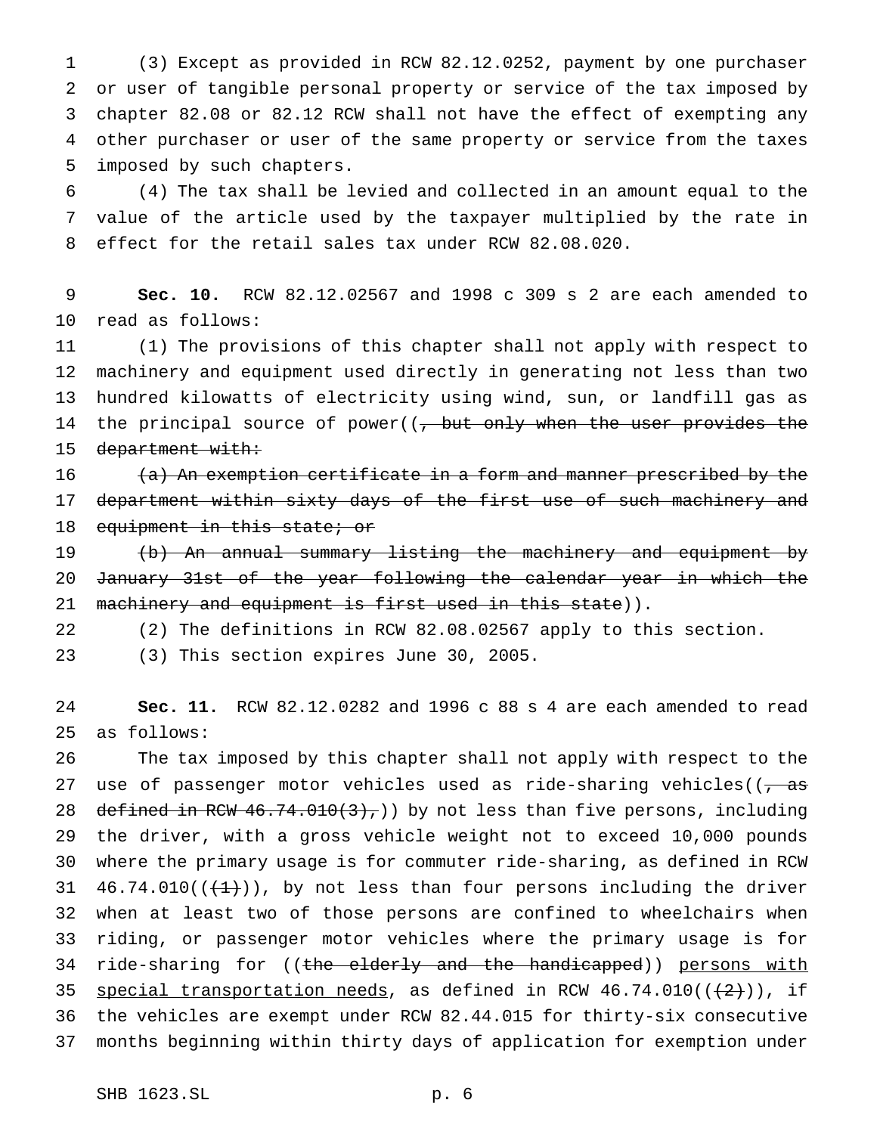(3) Except as provided in RCW 82.12.0252, payment by one purchaser or user of tangible personal property or service of the tax imposed by chapter 82.08 or 82.12 RCW shall not have the effect of exempting any other purchaser or user of the same property or service from the taxes imposed by such chapters.

 (4) The tax shall be levied and collected in an amount equal to the value of the article used by the taxpayer multiplied by the rate in effect for the retail sales tax under RCW 82.08.020.

 **Sec. 10.** RCW 82.12.02567 and 1998 c 309 s 2 are each amended to read as follows:

 (1) The provisions of this chapter shall not apply with respect to machinery and equipment used directly in generating not less than two hundred kilowatts of electricity using wind, sun, or landfill gas as 14 the principal source of power( $\left(\frac{1}{t}, \frac{1}{t}, \frac{1}{t}\right)$  when the user provides the 15 department with:

 $(a)$  An exemption certificate in a form and manner prescribed by the 17 department within sixty days of the first use of such machinery and 18 equipment in this state; or

 (b) An annual summary listing the machinery and equipment by January 31st of the year following the calendar year in which the 21 machinery and equipment is first used in this state)).

(2) The definitions in RCW 82.08.02567 apply to this section.

(3) This section expires June 30, 2005.

 **Sec. 11.** RCW 82.12.0282 and 1996 c 88 s 4 are each amended to read as follows:

 The tax imposed by this chapter shall not apply with respect to the 27 use of passenger motor vehicles used as ride-sharing vehicles( $\left(\frac{1}{2}, \frac{1}{2}, \frac{1}{2}\right)$ 28 defined in RCW  $46.74.010(3)$ , by not less than five persons, including the driver, with a gross vehicle weight not to exceed 10,000 pounds where the primary usage is for commuter ride-sharing, as defined in RCW  $46.74.010((\leftarrow{1})$ , by not less than four persons including the driver when at least two of those persons are confined to wheelchairs when riding, or passenger motor vehicles where the primary usage is for 34 ride-sharing for ((the elderly and the handicapped)) persons with 35 special transportation needs, as defined in RCW  $46.74.010((+2))$ , if the vehicles are exempt under RCW 82.44.015 for thirty-six consecutive months beginning within thirty days of application for exemption under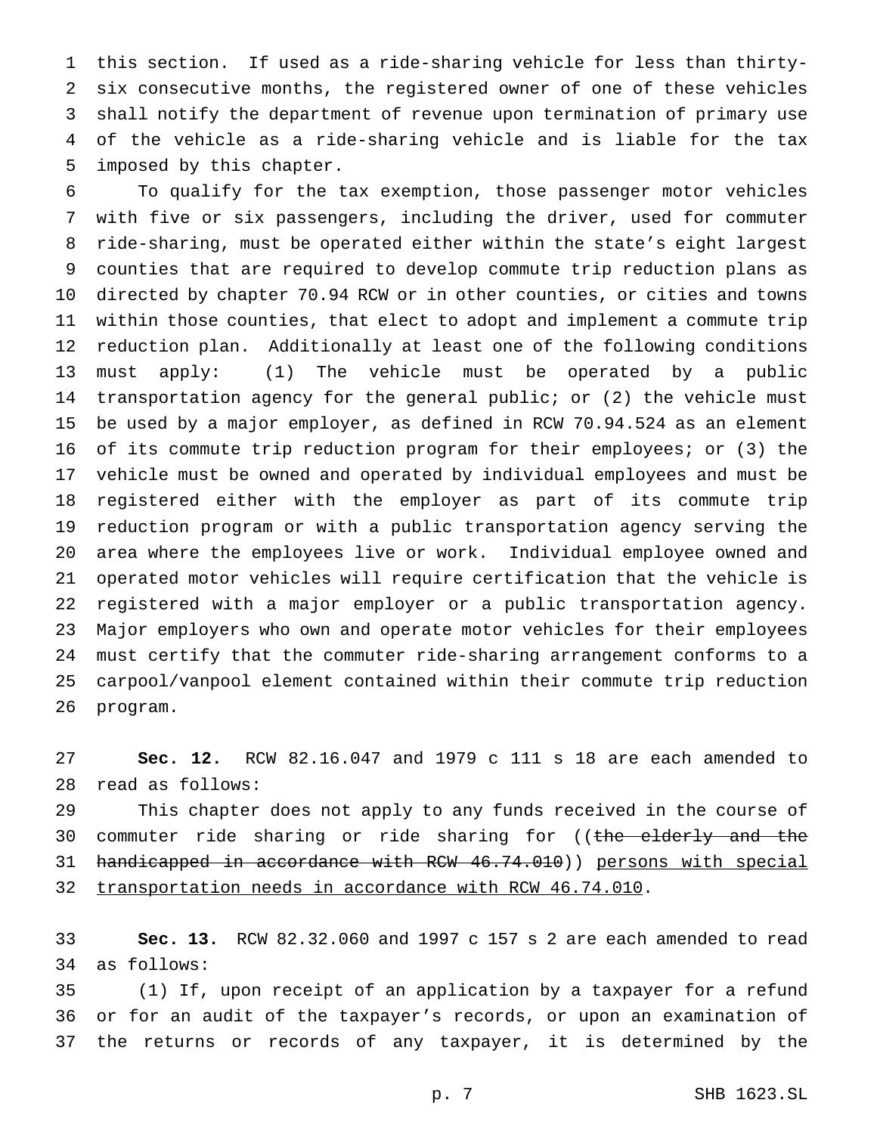this section. If used as a ride-sharing vehicle for less than thirty- six consecutive months, the registered owner of one of these vehicles shall notify the department of revenue upon termination of primary use of the vehicle as a ride-sharing vehicle and is liable for the tax imposed by this chapter.

 To qualify for the tax exemption, those passenger motor vehicles with five or six passengers, including the driver, used for commuter ride-sharing, must be operated either within the state's eight largest counties that are required to develop commute trip reduction plans as directed by chapter 70.94 RCW or in other counties, or cities and towns within those counties, that elect to adopt and implement a commute trip reduction plan. Additionally at least one of the following conditions must apply: (1) The vehicle must be operated by a public transportation agency for the general public; or (2) the vehicle must be used by a major employer, as defined in RCW 70.94.524 as an element of its commute trip reduction program for their employees; or (3) the vehicle must be owned and operated by individual employees and must be registered either with the employer as part of its commute trip reduction program or with a public transportation agency serving the area where the employees live or work. Individual employee owned and operated motor vehicles will require certification that the vehicle is registered with a major employer or a public transportation agency. Major employers who own and operate motor vehicles for their employees must certify that the commuter ride-sharing arrangement conforms to a carpool/vanpool element contained within their commute trip reduction program.

 **Sec. 12.** RCW 82.16.047 and 1979 c 111 s 18 are each amended to read as follows:

 This chapter does not apply to any funds received in the course of 30 commuter ride sharing or ride sharing for ((the elderly and the handicapped in accordance with RCW 46.74.010)) persons with special transportation needs in accordance with RCW 46.74.010.

 **Sec. 13.** RCW 82.32.060 and 1997 c 157 s 2 are each amended to read as follows:

 (1) If, upon receipt of an application by a taxpayer for a refund or for an audit of the taxpayer's records, or upon an examination of the returns or records of any taxpayer, it is determined by the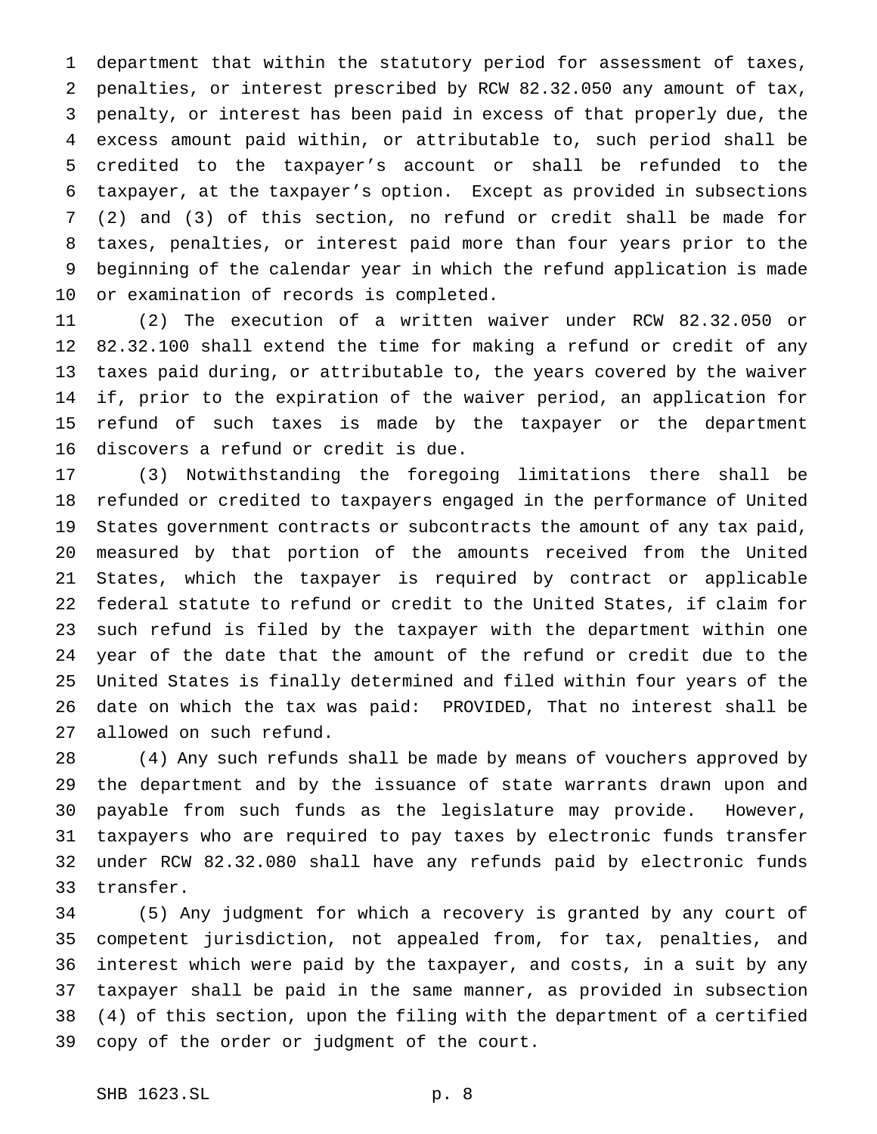department that within the statutory period for assessment of taxes, penalties, or interest prescribed by RCW 82.32.050 any amount of tax, penalty, or interest has been paid in excess of that properly due, the excess amount paid within, or attributable to, such period shall be credited to the taxpayer's account or shall be refunded to the taxpayer, at the taxpayer's option. Except as provided in subsections (2) and (3) of this section, no refund or credit shall be made for taxes, penalties, or interest paid more than four years prior to the beginning of the calendar year in which the refund application is made or examination of records is completed.

 (2) The execution of a written waiver under RCW 82.32.050 or 82.32.100 shall extend the time for making a refund or credit of any taxes paid during, or attributable to, the years covered by the waiver if, prior to the expiration of the waiver period, an application for refund of such taxes is made by the taxpayer or the department discovers a refund or credit is due.

 (3) Notwithstanding the foregoing limitations there shall be refunded or credited to taxpayers engaged in the performance of United States government contracts or subcontracts the amount of any tax paid, measured by that portion of the amounts received from the United States, which the taxpayer is required by contract or applicable federal statute to refund or credit to the United States, if claim for such refund is filed by the taxpayer with the department within one year of the date that the amount of the refund or credit due to the United States is finally determined and filed within four years of the date on which the tax was paid: PROVIDED, That no interest shall be allowed on such refund.

 (4) Any such refunds shall be made by means of vouchers approved by the department and by the issuance of state warrants drawn upon and payable from such funds as the legislature may provide. However, taxpayers who are required to pay taxes by electronic funds transfer under RCW 82.32.080 shall have any refunds paid by electronic funds transfer.

 (5) Any judgment for which a recovery is granted by any court of competent jurisdiction, not appealed from, for tax, penalties, and interest which were paid by the taxpayer, and costs, in a suit by any taxpayer shall be paid in the same manner, as provided in subsection (4) of this section, upon the filing with the department of a certified copy of the order or judgment of the court.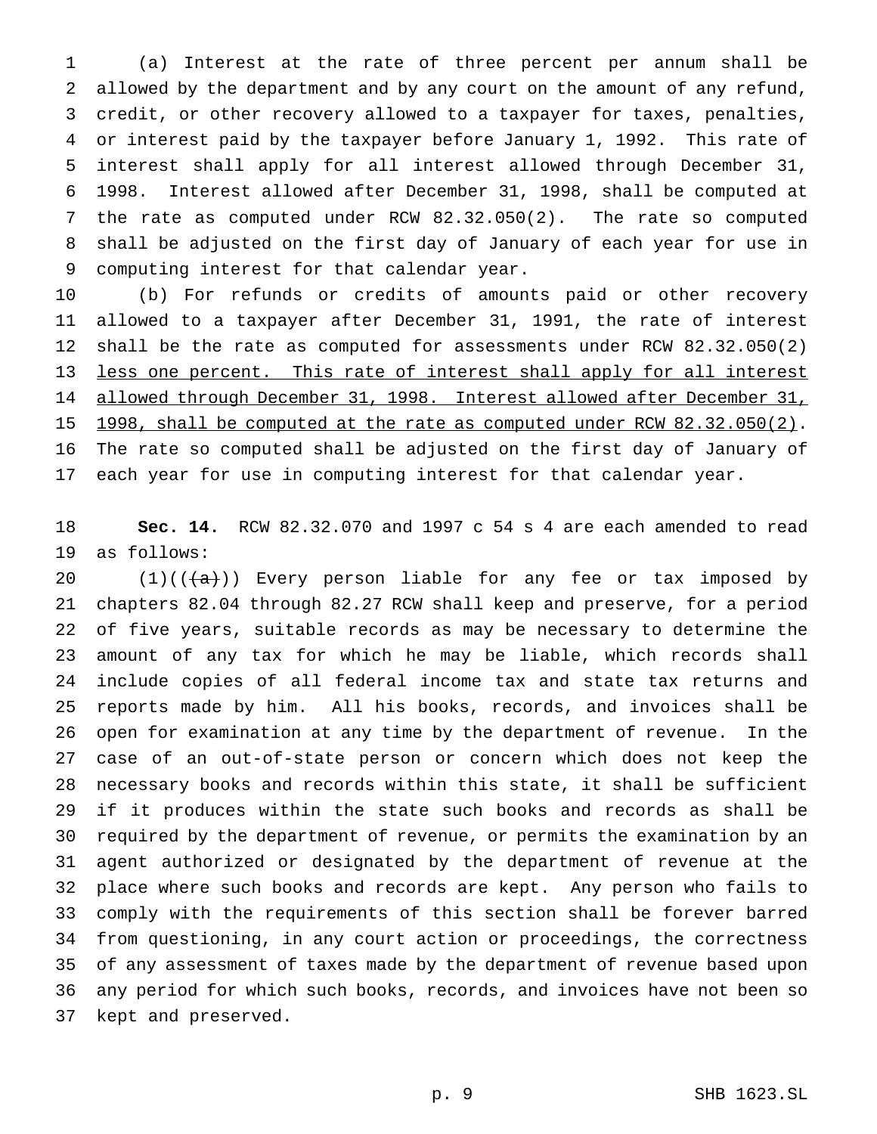(a) Interest at the rate of three percent per annum shall be allowed by the department and by any court on the amount of any refund, credit, or other recovery allowed to a taxpayer for taxes, penalties, or interest paid by the taxpayer before January 1, 1992. This rate of interest shall apply for all interest allowed through December 31, 1998. Interest allowed after December 31, 1998, shall be computed at the rate as computed under RCW 82.32.050(2). The rate so computed shall be adjusted on the first day of January of each year for use in computing interest for that calendar year.

 (b) For refunds or credits of amounts paid or other recovery allowed to a taxpayer after December 31, 1991, the rate of interest shall be the rate as computed for assessments under RCW 82.32.050(2) less one percent. This rate of interest shall apply for all interest allowed through December 31, 1998. Interest allowed after December 31, 15 1998, shall be computed at the rate as computed under RCW 82.32.050(2). The rate so computed shall be adjusted on the first day of January of each year for use in computing interest for that calendar year.

 **Sec. 14.** RCW 82.32.070 and 1997 c 54 s 4 are each amended to read as follows:

 $(1)((\{a\}))$  Every person liable for any fee or tax imposed by chapters 82.04 through 82.27 RCW shall keep and preserve, for a period of five years, suitable records as may be necessary to determine the amount of any tax for which he may be liable, which records shall include copies of all federal income tax and state tax returns and reports made by him. All his books, records, and invoices shall be open for examination at any time by the department of revenue. In the case of an out-of-state person or concern which does not keep the necessary books and records within this state, it shall be sufficient if it produces within the state such books and records as shall be required by the department of revenue, or permits the examination by an agent authorized or designated by the department of revenue at the place where such books and records are kept. Any person who fails to comply with the requirements of this section shall be forever barred from questioning, in any court action or proceedings, the correctness of any assessment of taxes made by the department of revenue based upon any period for which such books, records, and invoices have not been so kept and preserved.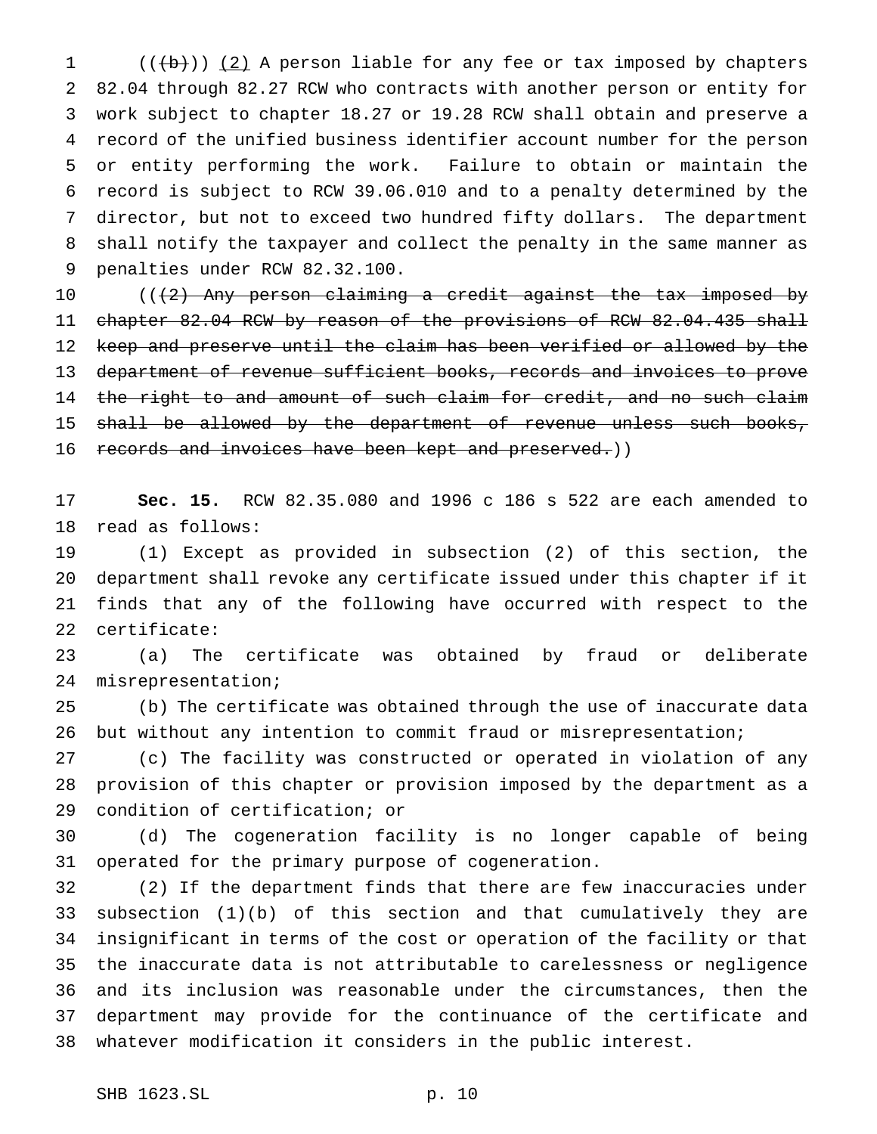1 (((b))) (2) A person liable for any fee or tax imposed by chapters 82.04 through 82.27 RCW who contracts with another person or entity for work subject to chapter 18.27 or 19.28 RCW shall obtain and preserve a record of the unified business identifier account number for the person or entity performing the work. Failure to obtain or maintain the record is subject to RCW 39.06.010 and to a penalty determined by the director, but not to exceed two hundred fifty dollars. The department shall notify the taxpayer and collect the penalty in the same manner as penalties under RCW 82.32.100.

10 ((<del>(2) Any person claiming a credit against the tax imposed by</del> 11 chapter 82.04 RCW by reason of the provisions of RCW 82.04.435 shall keep and preserve until the claim has been verified or allowed by the department of revenue sufficient books, records and invoices to prove 14 the right to and amount of such claim for credit, and no such claim 15 shall be allowed by the department of revenue unless such books, 16 records and invoices have been kept and preserved.))

 **Sec. 15.** RCW 82.35.080 and 1996 c 186 s 522 are each amended to read as follows:

 (1) Except as provided in subsection (2) of this section, the department shall revoke any certificate issued under this chapter if it finds that any of the following have occurred with respect to the certificate:

 (a) The certificate was obtained by fraud or deliberate misrepresentation;

 (b) The certificate was obtained through the use of inaccurate data but without any intention to commit fraud or misrepresentation;

 (c) The facility was constructed or operated in violation of any provision of this chapter or provision imposed by the department as a condition of certification; or

 (d) The cogeneration facility is no longer capable of being operated for the primary purpose of cogeneration.

 (2) If the department finds that there are few inaccuracies under subsection (1)(b) of this section and that cumulatively they are insignificant in terms of the cost or operation of the facility or that the inaccurate data is not attributable to carelessness or negligence and its inclusion was reasonable under the circumstances, then the department may provide for the continuance of the certificate and whatever modification it considers in the public interest.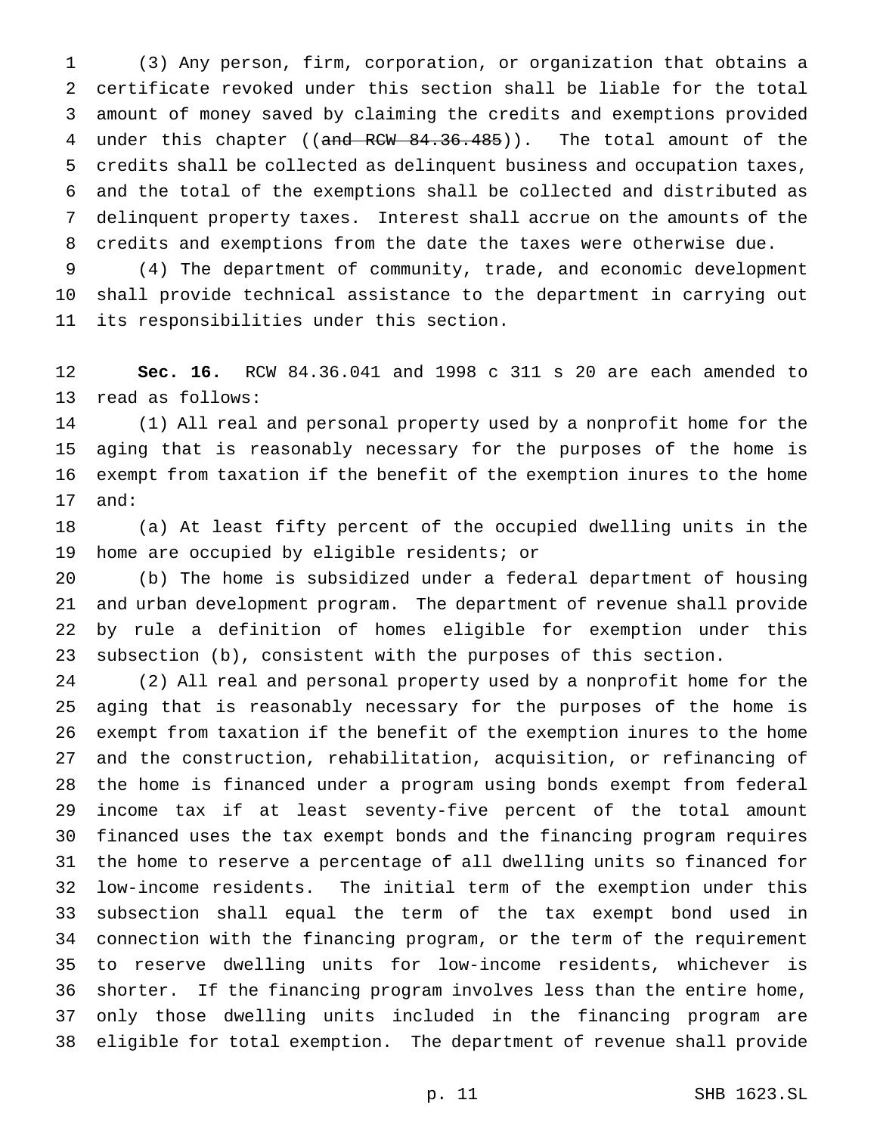(3) Any person, firm, corporation, or organization that obtains a certificate revoked under this section shall be liable for the total amount of money saved by claiming the credits and exemptions provided 4 under this chapter ((and RCW 84.36.485)). The total amount of the credits shall be collected as delinquent business and occupation taxes, and the total of the exemptions shall be collected and distributed as delinquent property taxes. Interest shall accrue on the amounts of the credits and exemptions from the date the taxes were otherwise due.

 (4) The department of community, trade, and economic development shall provide technical assistance to the department in carrying out its responsibilities under this section.

 **Sec. 16.** RCW 84.36.041 and 1998 c 311 s 20 are each amended to read as follows:

 (1) All real and personal property used by a nonprofit home for the aging that is reasonably necessary for the purposes of the home is exempt from taxation if the benefit of the exemption inures to the home and:

 (a) At least fifty percent of the occupied dwelling units in the home are occupied by eligible residents; or

 (b) The home is subsidized under a federal department of housing and urban development program. The department of revenue shall provide by rule a definition of homes eligible for exemption under this subsection (b), consistent with the purposes of this section.

 (2) All real and personal property used by a nonprofit home for the aging that is reasonably necessary for the purposes of the home is exempt from taxation if the benefit of the exemption inures to the home and the construction, rehabilitation, acquisition, or refinancing of the home is financed under a program using bonds exempt from federal income tax if at least seventy-five percent of the total amount financed uses the tax exempt bonds and the financing program requires the home to reserve a percentage of all dwelling units so financed for low-income residents. The initial term of the exemption under this subsection shall equal the term of the tax exempt bond used in connection with the financing program, or the term of the requirement to reserve dwelling units for low-income residents, whichever is shorter. If the financing program involves less than the entire home, only those dwelling units included in the financing program are eligible for total exemption. The department of revenue shall provide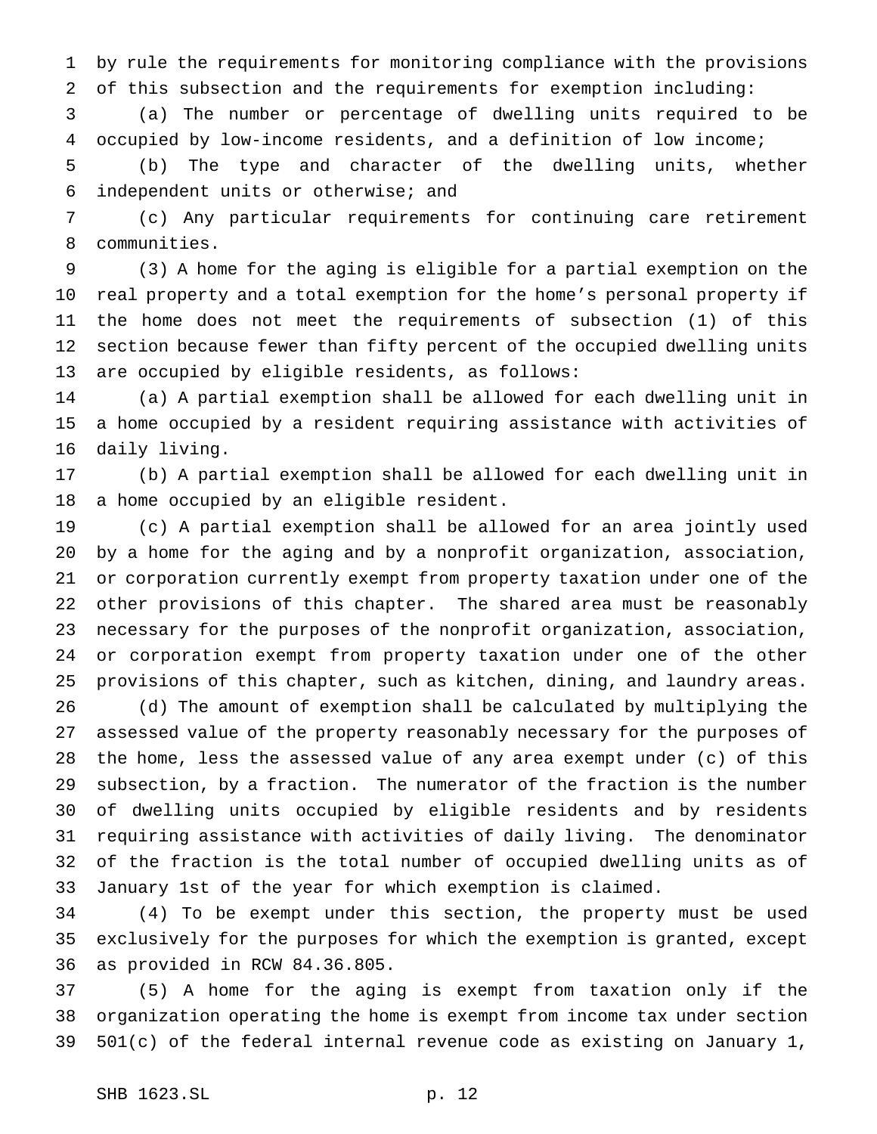by rule the requirements for monitoring compliance with the provisions of this subsection and the requirements for exemption including:

 (a) The number or percentage of dwelling units required to be occupied by low-income residents, and a definition of low income;

 (b) The type and character of the dwelling units, whether independent units or otherwise; and

 (c) Any particular requirements for continuing care retirement communities.

 (3) A home for the aging is eligible for a partial exemption on the real property and a total exemption for the home's personal property if the home does not meet the requirements of subsection (1) of this section because fewer than fifty percent of the occupied dwelling units are occupied by eligible residents, as follows:

 (a) A partial exemption shall be allowed for each dwelling unit in a home occupied by a resident requiring assistance with activities of daily living.

 (b) A partial exemption shall be allowed for each dwelling unit in a home occupied by an eligible resident.

 (c) A partial exemption shall be allowed for an area jointly used by a home for the aging and by a nonprofit organization, association, or corporation currently exempt from property taxation under one of the other provisions of this chapter. The shared area must be reasonably necessary for the purposes of the nonprofit organization, association, or corporation exempt from property taxation under one of the other provisions of this chapter, such as kitchen, dining, and laundry areas.

 (d) The amount of exemption shall be calculated by multiplying the assessed value of the property reasonably necessary for the purposes of the home, less the assessed value of any area exempt under (c) of this subsection, by a fraction. The numerator of the fraction is the number of dwelling units occupied by eligible residents and by residents requiring assistance with activities of daily living. The denominator of the fraction is the total number of occupied dwelling units as of January 1st of the year for which exemption is claimed.

 (4) To be exempt under this section, the property must be used exclusively for the purposes for which the exemption is granted, except as provided in RCW 84.36.805.

 (5) A home for the aging is exempt from taxation only if the organization operating the home is exempt from income tax under section 501(c) of the federal internal revenue code as existing on January 1,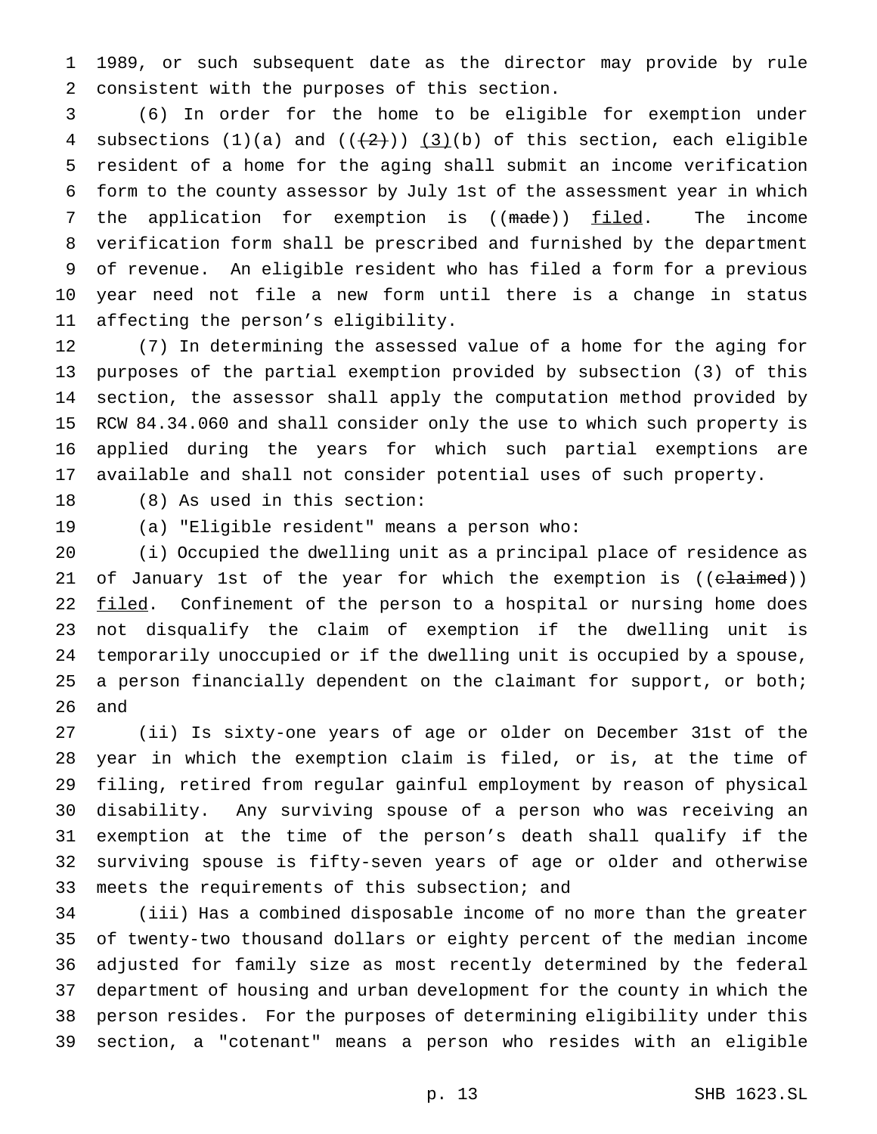1989, or such subsequent date as the director may provide by rule consistent with the purposes of this section.

 (6) In order for the home to be eligible for exemption under 4 subsections  $(1)(a)$  and  $((+2))$   $(3)(b)$  of this section, each eligible resident of a home for the aging shall submit an income verification form to the county assessor by July 1st of the assessment year in which 7 the application for exemption is ((made)) filed. The income verification form shall be prescribed and furnished by the department of revenue. An eligible resident who has filed a form for a previous year need not file a new form until there is a change in status affecting the person's eligibility.

 (7) In determining the assessed value of a home for the aging for purposes of the partial exemption provided by subsection (3) of this section, the assessor shall apply the computation method provided by RCW 84.34.060 and shall consider only the use to which such property is applied during the years for which such partial exemptions are available and shall not consider potential uses of such property.

(8) As used in this section:

(a) "Eligible resident" means a person who:

 (i) Occupied the dwelling unit as a principal place of residence as 21 of January 1st of the year for which the exemption is ((claimed)) 22 filed. Confinement of the person to a hospital or nursing home does not disqualify the claim of exemption if the dwelling unit is temporarily unoccupied or if the dwelling unit is occupied by a spouse, 25 a person financially dependent on the claimant for support, or both; and

 (ii) Is sixty-one years of age or older on December 31st of the year in which the exemption claim is filed, or is, at the time of filing, retired from regular gainful employment by reason of physical disability. Any surviving spouse of a person who was receiving an exemption at the time of the person's death shall qualify if the surviving spouse is fifty-seven years of age or older and otherwise meets the requirements of this subsection; and

 (iii) Has a combined disposable income of no more than the greater of twenty-two thousand dollars or eighty percent of the median income adjusted for family size as most recently determined by the federal department of housing and urban development for the county in which the person resides. For the purposes of determining eligibility under this section, a "cotenant" means a person who resides with an eligible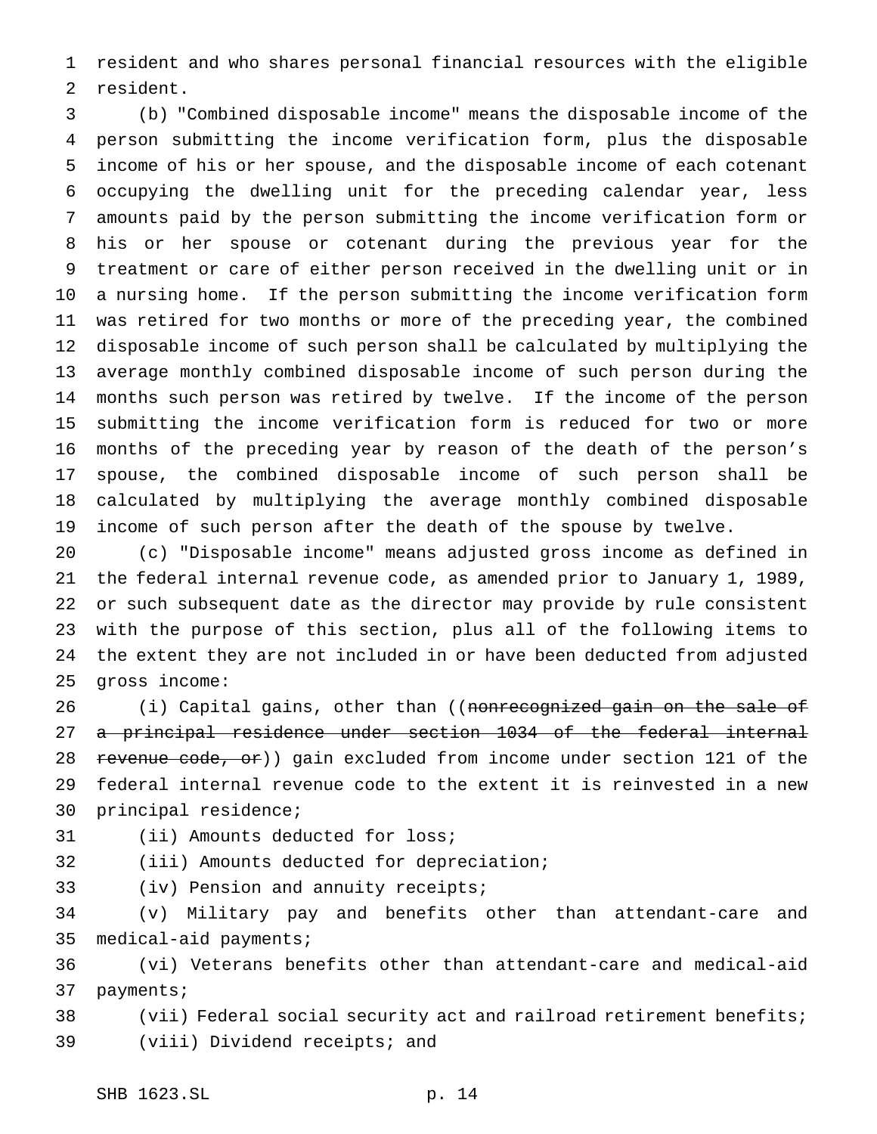resident and who shares personal financial resources with the eligible resident.

 (b) "Combined disposable income" means the disposable income of the person submitting the income verification form, plus the disposable income of his or her spouse, and the disposable income of each cotenant occupying the dwelling unit for the preceding calendar year, less amounts paid by the person submitting the income verification form or his or her spouse or cotenant during the previous year for the treatment or care of either person received in the dwelling unit or in a nursing home. If the person submitting the income verification form was retired for two months or more of the preceding year, the combined disposable income of such person shall be calculated by multiplying the average monthly combined disposable income of such person during the months such person was retired by twelve. If the income of the person submitting the income verification form is reduced for two or more months of the preceding year by reason of the death of the person's spouse, the combined disposable income of such person shall be calculated by multiplying the average monthly combined disposable income of such person after the death of the spouse by twelve.

 (c) "Disposable income" means adjusted gross income as defined in the federal internal revenue code, as amended prior to January 1, 1989, or such subsequent date as the director may provide by rule consistent with the purpose of this section, plus all of the following items to the extent they are not included in or have been deducted from adjusted gross income:

26 (i) Capital gains, other than ((nonrecognized gain on the sale of a principal residence under section 1034 of the federal internal 28 revenue code, or)) gain excluded from income under section 121 of the federal internal revenue code to the extent it is reinvested in a new principal residence;

- (ii) Amounts deducted for loss;
- (iii) Amounts deducted for depreciation;
- 
- (iv) Pension and annuity receipts;

 (v) Military pay and benefits other than attendant-care and medical-aid payments;

 (vi) Veterans benefits other than attendant-care and medical-aid payments;

 (vii) Federal social security act and railroad retirement benefits; (viii) Dividend receipts; and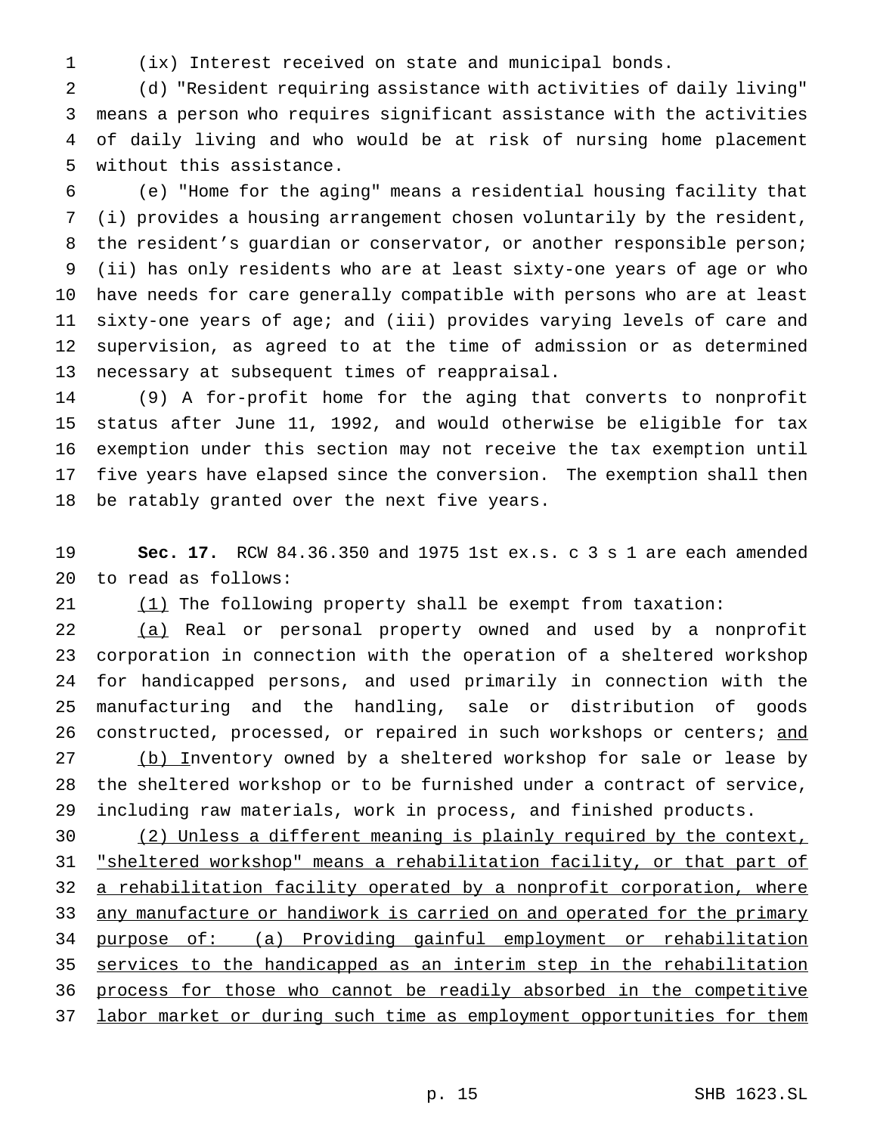(ix) Interest received on state and municipal bonds.

 (d) "Resident requiring assistance with activities of daily living" means a person who requires significant assistance with the activities of daily living and who would be at risk of nursing home placement without this assistance.

 (e) "Home for the aging" means a residential housing facility that (i) provides a housing arrangement chosen voluntarily by the resident, 8 the resident's guardian or conservator, or another responsible person; (ii) has only residents who are at least sixty-one years of age or who have needs for care generally compatible with persons who are at least sixty-one years of age; and (iii) provides varying levels of care and supervision, as agreed to at the time of admission or as determined necessary at subsequent times of reappraisal.

 (9) A for-profit home for the aging that converts to nonprofit status after June 11, 1992, and would otherwise be eligible for tax exemption under this section may not receive the tax exemption until five years have elapsed since the conversion. The exemption shall then be ratably granted over the next five years.

 **Sec. 17.** RCW 84.36.350 and 1975 1st ex.s. c 3 s 1 are each amended to read as follows:

(1) The following property shall be exempt from taxation:

 (a) Real or personal property owned and used by a nonprofit corporation in connection with the operation of a sheltered workshop for handicapped persons, and used primarily in connection with the manufacturing and the handling, sale or distribution of goods 26 constructed, processed, or repaired in such workshops or centers; and 27 (b) Inventory owned by a sheltered workshop for sale or lease by the sheltered workshop or to be furnished under a contract of service, including raw materials, work in process, and finished products.

 (2) Unless a different meaning is plainly required by the context, 31 "sheltered workshop" means a rehabilitation facility, or that part of 32 a rehabilitation facility operated by a nonprofit corporation, where 33 any manufacture or handiwork is carried on and operated for the primary purpose of: (a) Providing gainful employment or rehabilitation 35 services to the handicapped as an interim step in the rehabilitation process for those who cannot be readily absorbed in the competitive 37 labor market or during such time as employment opportunities for them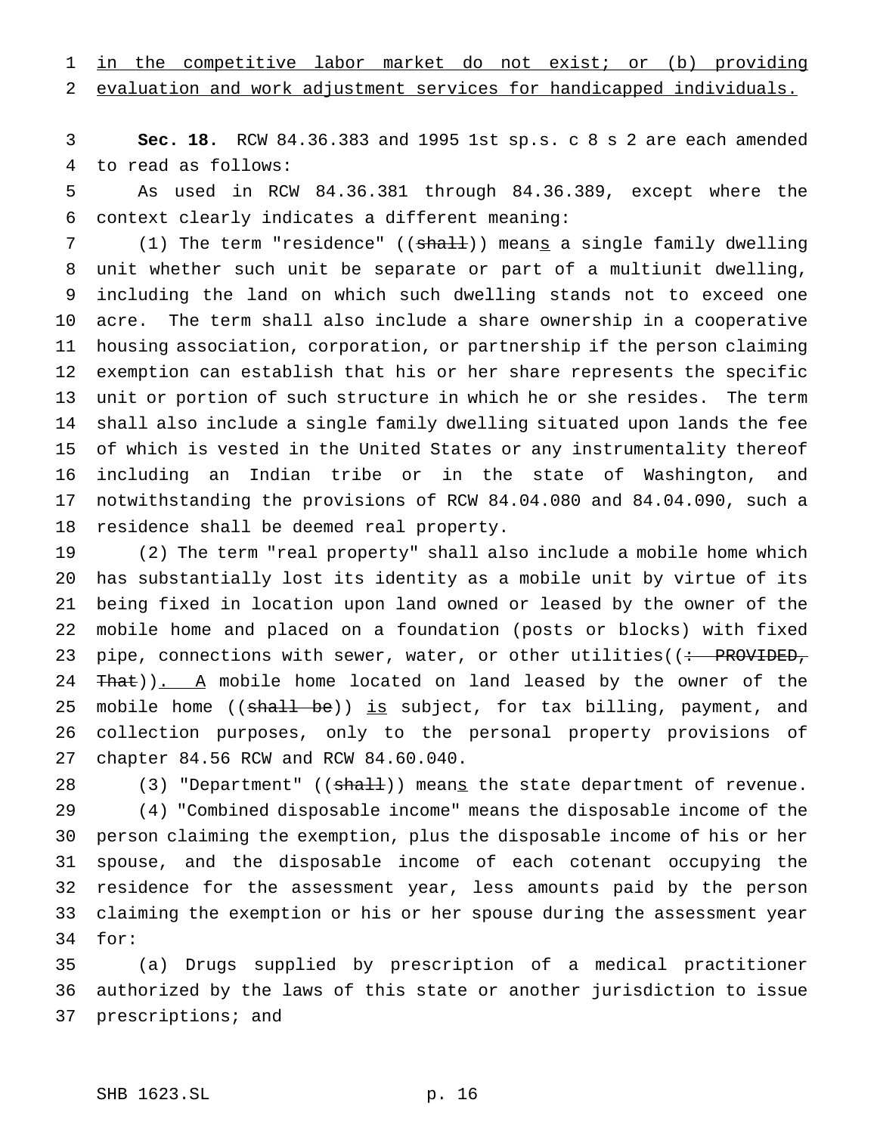in the competitive labor market do not exist; or (b) providing evaluation and work adjustment services for handicapped individuals.

 **Sec. 18.** RCW 84.36.383 and 1995 1st sp.s. c 8 s 2 are each amended to read as follows:

 As used in RCW 84.36.381 through 84.36.389, except where the context clearly indicates a different meaning:

7 (1) The term "residence" ((shall)) means a single family dwelling unit whether such unit be separate or part of a multiunit dwelling, including the land on which such dwelling stands not to exceed one acre. The term shall also include a share ownership in a cooperative housing association, corporation, or partnership if the person claiming exemption can establish that his or her share represents the specific unit or portion of such structure in which he or she resides. The term shall also include a single family dwelling situated upon lands the fee of which is vested in the United States or any instrumentality thereof including an Indian tribe or in the state of Washington, and notwithstanding the provisions of RCW 84.04.080 and 84.04.090, such a residence shall be deemed real property.

 (2) The term "real property" shall also include a mobile home which has substantially lost its identity as a mobile unit by virtue of its being fixed in location upon land owned or leased by the owner of the mobile home and placed on a foundation (posts or blocks) with fixed 23 pipe, connections with sewer, water, or other utilities((: PROVIDED, 24 That)). A mobile home located on land leased by the owner of the 25 mobile home ((shall be)) is subject, for tax billing, payment, and collection purposes, only to the personal property provisions of chapter 84.56 RCW and RCW 84.60.040.

28 (3) "Department" ((<del>shall</del>)) mean<u>s</u> the state department of revenue. (4) "Combined disposable income" means the disposable income of the person claiming the exemption, plus the disposable income of his or her spouse, and the disposable income of each cotenant occupying the residence for the assessment year, less amounts paid by the person claiming the exemption or his or her spouse during the assessment year for:

 (a) Drugs supplied by prescription of a medical practitioner authorized by the laws of this state or another jurisdiction to issue prescriptions; and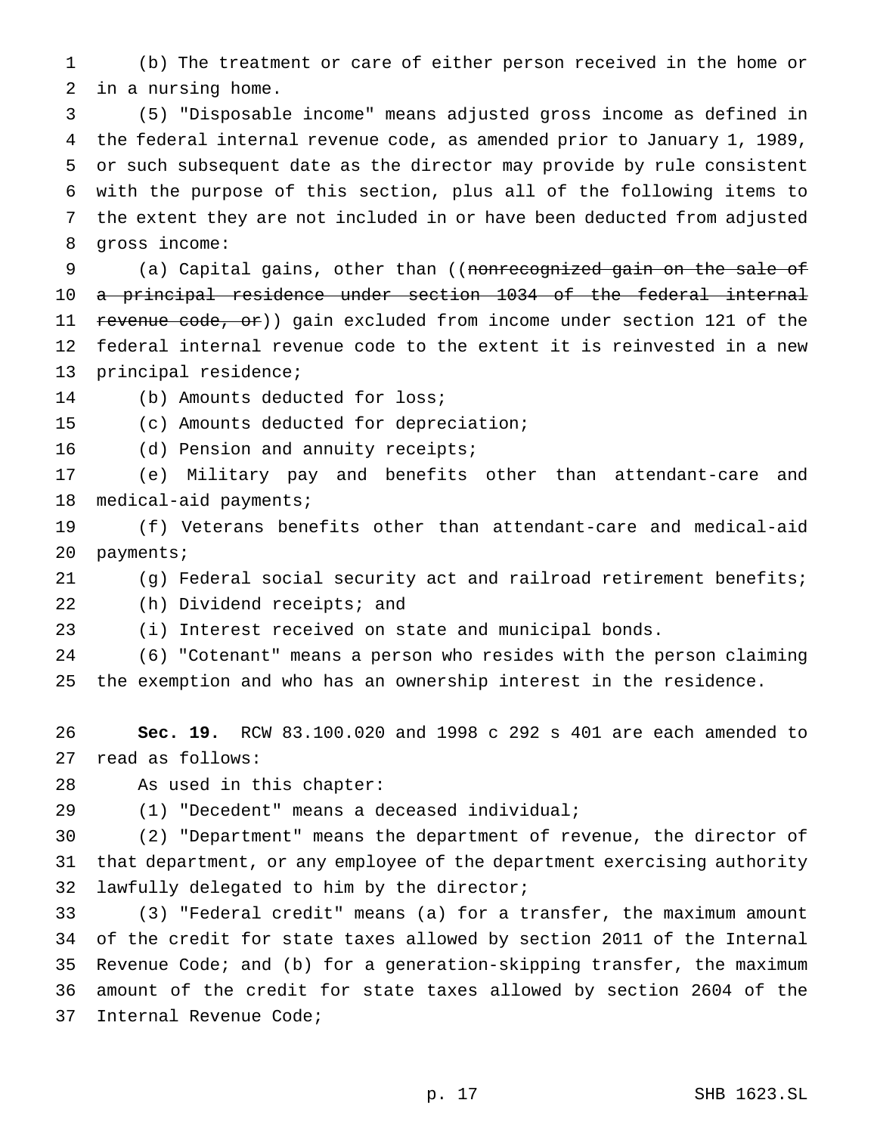(b) The treatment or care of either person received in the home or in a nursing home.

 (5) "Disposable income" means adjusted gross income as defined in the federal internal revenue code, as amended prior to January 1, 1989, or such subsequent date as the director may provide by rule consistent with the purpose of this section, plus all of the following items to the extent they are not included in or have been deducted from adjusted gross income:

9 (a) Capital gains, other than ((nonrecognized gain on the sale of 10 a principal residence under section 1034 of the federal internal revenue code, or)) gain excluded from income under section 121 of the federal internal revenue code to the extent it is reinvested in a new principal residence;

- (b) Amounts deducted for loss;
- (c) Amounts deducted for depreciation;
- 16 (d) Pension and annuity receipts;

 (e) Military pay and benefits other than attendant-care and medical-aid payments;

 (f) Veterans benefits other than attendant-care and medical-aid payments;

(g) Federal social security act and railroad retirement benefits;

(h) Dividend receipts; and

(i) Interest received on state and municipal bonds.

 (6) "Cotenant" means a person who resides with the person claiming the exemption and who has an ownership interest in the residence.

 **Sec. 19.** RCW 83.100.020 and 1998 c 292 s 401 are each amended to read as follows:

As used in this chapter:

(1) "Decedent" means a deceased individual;

 (2) "Department" means the department of revenue, the director of that department, or any employee of the department exercising authority lawfully delegated to him by the director;

 (3) "Federal credit" means (a) for a transfer, the maximum amount of the credit for state taxes allowed by section 2011 of the Internal Revenue Code; and (b) for a generation-skipping transfer, the maximum amount of the credit for state taxes allowed by section 2604 of the Internal Revenue Code;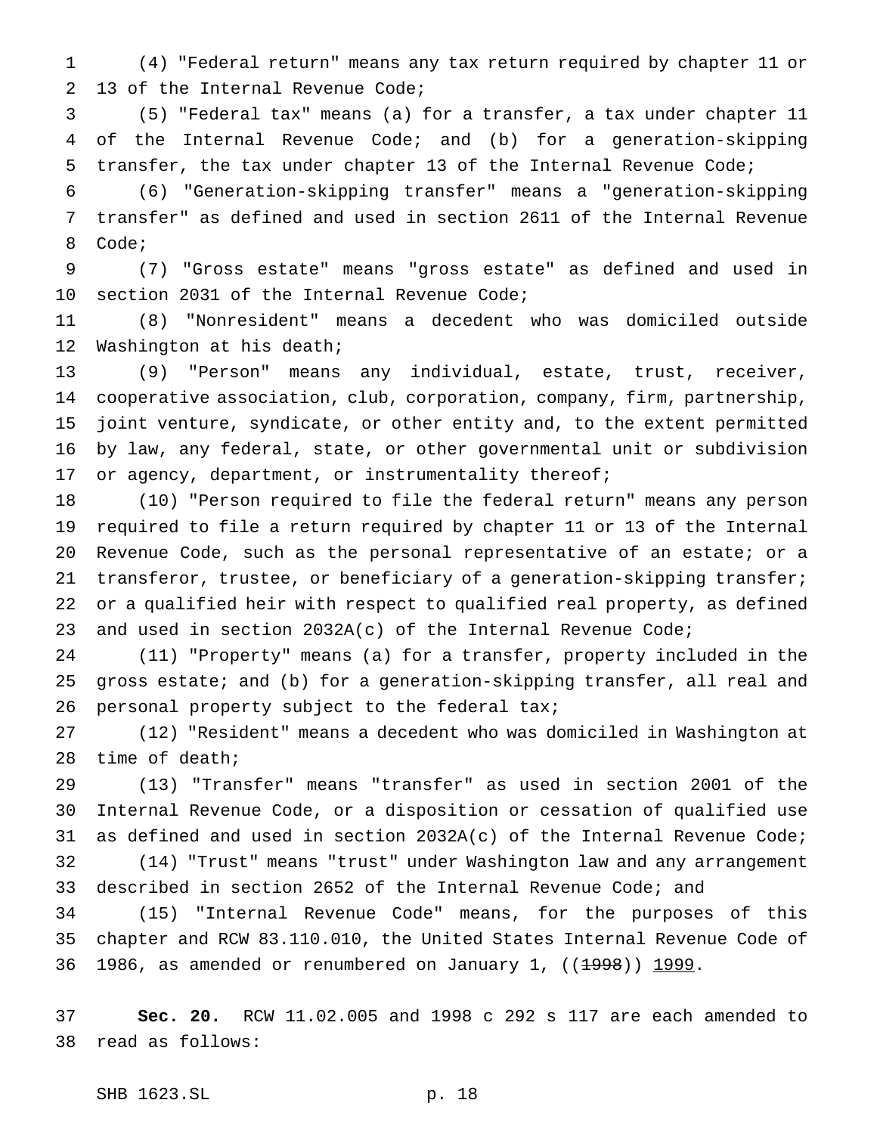(4) "Federal return" means any tax return required by chapter 11 or 13 of the Internal Revenue Code;

 (5) "Federal tax" means (a) for a transfer, a tax under chapter 11 of the Internal Revenue Code; and (b) for a generation-skipping transfer, the tax under chapter 13 of the Internal Revenue Code;

 (6) "Generation-skipping transfer" means a "generation-skipping transfer" as defined and used in section 2611 of the Internal Revenue Code;

 (7) "Gross estate" means "gross estate" as defined and used in section 2031 of the Internal Revenue Code;

 (8) "Nonresident" means a decedent who was domiciled outside Washington at his death;

 (9) "Person" means any individual, estate, trust, receiver, cooperative association, club, corporation, company, firm, partnership, joint venture, syndicate, or other entity and, to the extent permitted by law, any federal, state, or other governmental unit or subdivision 17 or agency, department, or instrumentality thereof;

 (10) "Person required to file the federal return" means any person required to file a return required by chapter 11 or 13 of the Internal Revenue Code, such as the personal representative of an estate; or a 21 transferor, trustee, or beneficiary of a generation-skipping transfer; or a qualified heir with respect to qualified real property, as defined 23 and used in section  $2032A(c)$  of the Internal Revenue Code;

 (11) "Property" means (a) for a transfer, property included in the gross estate; and (b) for a generation-skipping transfer, all real and 26 personal property subject to the federal tax;

 (12) "Resident" means a decedent who was domiciled in Washington at time of death;

 (13) "Transfer" means "transfer" as used in section 2001 of the Internal Revenue Code, or a disposition or cessation of qualified use as defined and used in section 2032A(c) of the Internal Revenue Code; (14) "Trust" means "trust" under Washington law and any arrangement

described in section 2652 of the Internal Revenue Code; and

 (15) "Internal Revenue Code" means, for the purposes of this chapter and RCW 83.110.010, the United States Internal Revenue Code of 36 1986, as amended or renumbered on January 1,  $((1998))$  1999.

 **Sec. 20.** RCW 11.02.005 and 1998 c 292 s 117 are each amended to read as follows:

SHB 1623.SL p. 18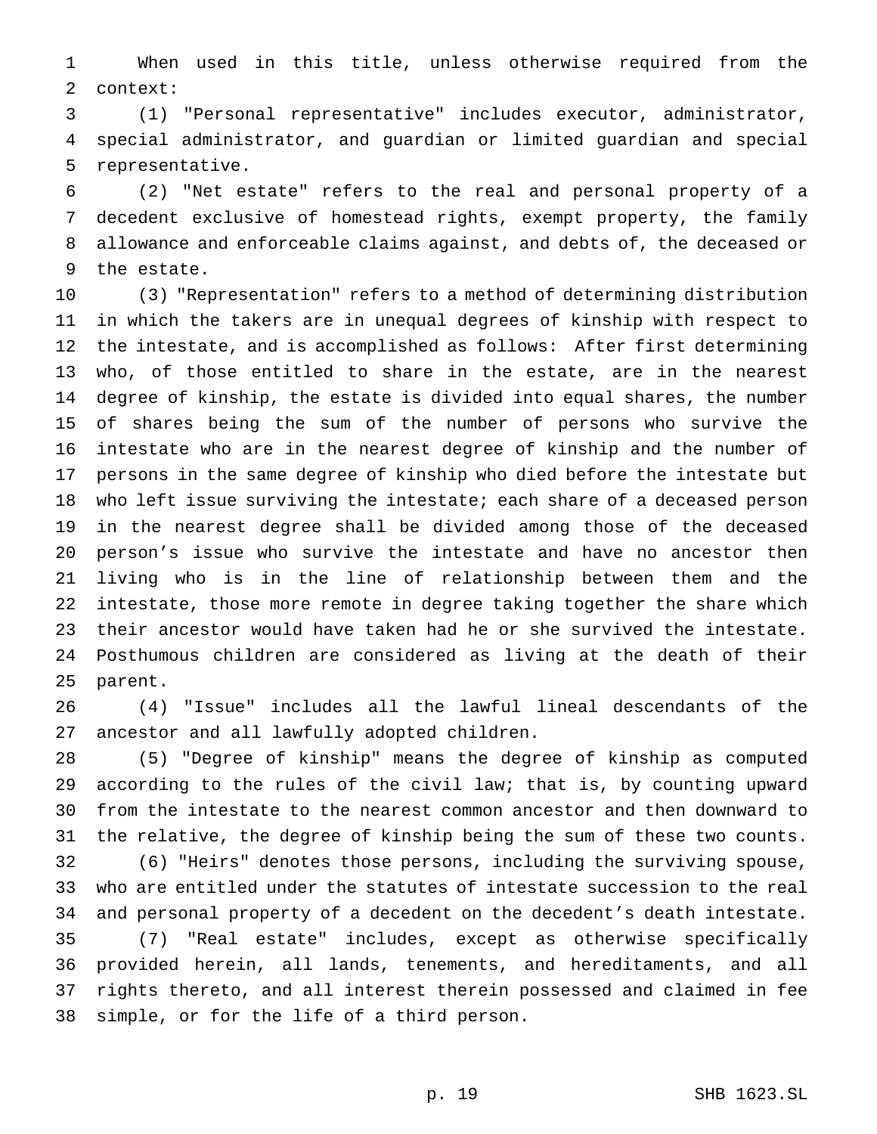When used in this title, unless otherwise required from the context:

 (1) "Personal representative" includes executor, administrator, special administrator, and guardian or limited guardian and special representative.

 (2) "Net estate" refers to the real and personal property of a decedent exclusive of homestead rights, exempt property, the family allowance and enforceable claims against, and debts of, the deceased or the estate.

 (3) "Representation" refers to a method of determining distribution in which the takers are in unequal degrees of kinship with respect to the intestate, and is accomplished as follows: After first determining who, of those entitled to share in the estate, are in the nearest degree of kinship, the estate is divided into equal shares, the number of shares being the sum of the number of persons who survive the intestate who are in the nearest degree of kinship and the number of persons in the same degree of kinship who died before the intestate but who left issue surviving the intestate; each share of a deceased person in the nearest degree shall be divided among those of the deceased person's issue who survive the intestate and have no ancestor then living who is in the line of relationship between them and the intestate, those more remote in degree taking together the share which their ancestor would have taken had he or she survived the intestate. Posthumous children are considered as living at the death of their parent.

 (4) "Issue" includes all the lawful lineal descendants of the ancestor and all lawfully adopted children.

 (5) "Degree of kinship" means the degree of kinship as computed according to the rules of the civil law; that is, by counting upward from the intestate to the nearest common ancestor and then downward to the relative, the degree of kinship being the sum of these two counts.

 (6) "Heirs" denotes those persons, including the surviving spouse, who are entitled under the statutes of intestate succession to the real and personal property of a decedent on the decedent's death intestate. (7) "Real estate" includes, except as otherwise specifically provided herein, all lands, tenements, and hereditaments, and all rights thereto, and all interest therein possessed and claimed in fee simple, or for the life of a third person.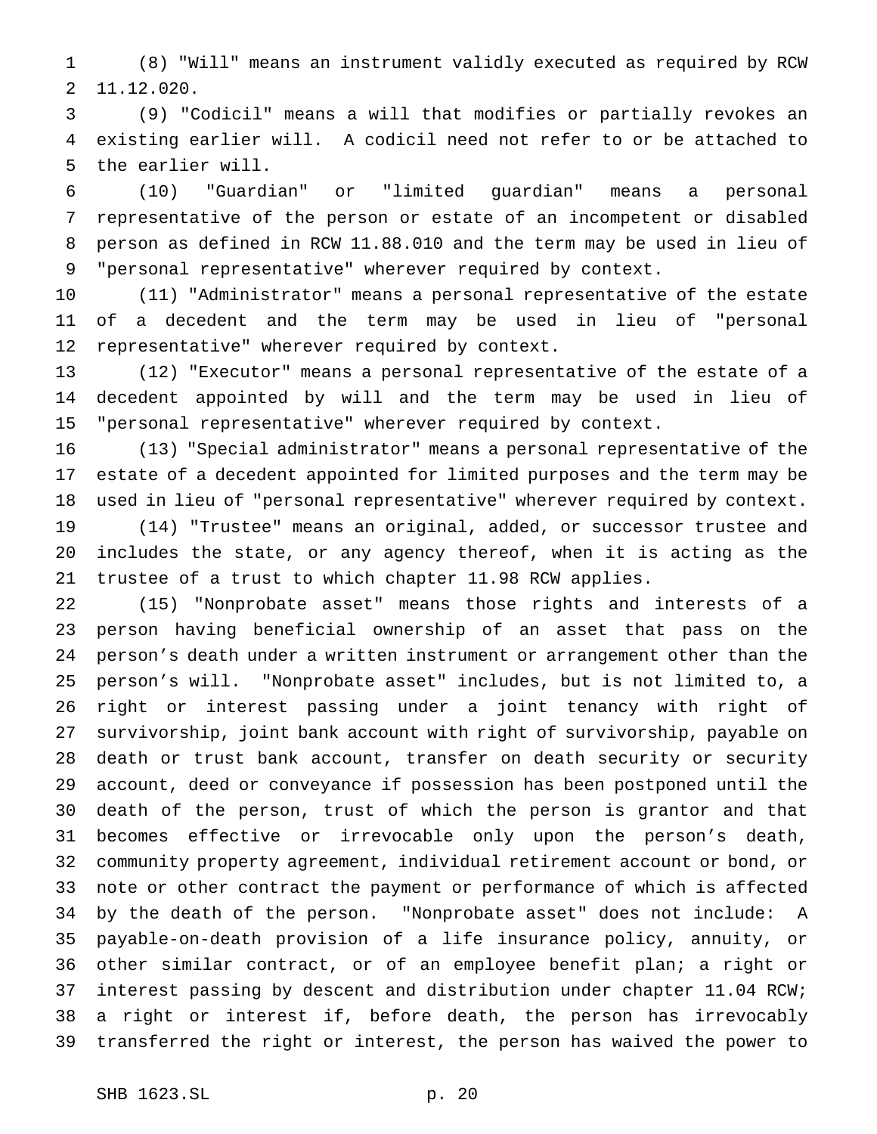(8) "Will" means an instrument validly executed as required by RCW 11.12.020.

 (9) "Codicil" means a will that modifies or partially revokes an existing earlier will. A codicil need not refer to or be attached to the earlier will.

 (10) "Guardian" or "limited guardian" means a personal representative of the person or estate of an incompetent or disabled person as defined in RCW 11.88.010 and the term may be used in lieu of "personal representative" wherever required by context.

 (11) "Administrator" means a personal representative of the estate of a decedent and the term may be used in lieu of "personal representative" wherever required by context.

 (12) "Executor" means a personal representative of the estate of a decedent appointed by will and the term may be used in lieu of "personal representative" wherever required by context.

 (13) "Special administrator" means a personal representative of the estate of a decedent appointed for limited purposes and the term may be used in lieu of "personal representative" wherever required by context.

 (14) "Trustee" means an original, added, or successor trustee and includes the state, or any agency thereof, when it is acting as the trustee of a trust to which chapter 11.98 RCW applies.

 (15) "Nonprobate asset" means those rights and interests of a person having beneficial ownership of an asset that pass on the person's death under a written instrument or arrangement other than the person's will. "Nonprobate asset" includes, but is not limited to, a right or interest passing under a joint tenancy with right of survivorship, joint bank account with right of survivorship, payable on death or trust bank account, transfer on death security or security account, deed or conveyance if possession has been postponed until the death of the person, trust of which the person is grantor and that becomes effective or irrevocable only upon the person's death, community property agreement, individual retirement account or bond, or note or other contract the payment or performance of which is affected by the death of the person. "Nonprobate asset" does not include: A payable-on-death provision of a life insurance policy, annuity, or other similar contract, or of an employee benefit plan; a right or interest passing by descent and distribution under chapter 11.04 RCW; a right or interest if, before death, the person has irrevocably transferred the right or interest, the person has waived the power to